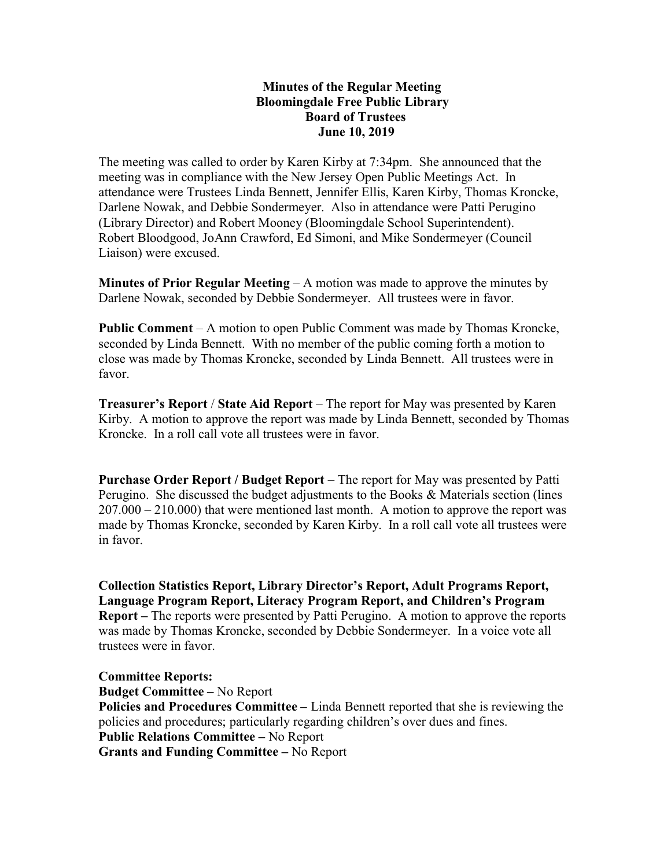## Minutes of the Regular Meeting Bloomingdale Free Public Library Board of Trustees June 10, 2019

The meeting was called to order by Karen Kirby at 7:34pm. She announced that the meeting was in compliance with the New Jersey Open Public Meetings Act. In attendance were Trustees Linda Bennett, Jennifer Ellis, Karen Kirby, Thomas Kroncke, Darlene Nowak, and Debbie Sondermeyer. Also in attendance were Patti Perugino (Library Director) and Robert Mooney (Bloomingdale School Superintendent). Robert Bloodgood, JoAnn Crawford, Ed Simoni, and Mike Sondermeyer (Council Liaison) were excused.

**Minutes of Prior Regular Meeting**  $- A$  motion was made to approve the minutes by Darlene Nowak, seconded by Debbie Sondermeyer. All trustees were in favor.

Public Comment – A motion to open Public Comment was made by Thomas Kroncke, seconded by Linda Bennett. With no member of the public coming forth a motion to close was made by Thomas Kroncke, seconded by Linda Bennett. All trustees were in favor.

Treasurer's Report / State Aid Report – The report for May was presented by Karen Kirby. A motion to approve the report was made by Linda Bennett, seconded by Thomas Kroncke. In a roll call vote all trustees were in favor.

Purchase Order Report / Budget Report – The report for May was presented by Patti Perugino. She discussed the budget adjustments to the Books & Materials section (lines 207.000 – 210.000) that were mentioned last month. A motion to approve the report was made by Thomas Kroncke, seconded by Karen Kirby. In a roll call vote all trustees were in favor.

Collection Statistics Report, Library Director's Report, Adult Programs Report, Language Program Report, Literacy Program Report, and Children's Program Report – The reports were presented by Patti Perugino. A motion to approve the reports was made by Thomas Kroncke, seconded by Debbie Sondermeyer. In a voice vote all trustees were in favor.

Committee Reports: Budget Committee – No Report Policies and Procedures Committee – Linda Bennett reported that she is reviewing the policies and procedures; particularly regarding children's over dues and fines. Public Relations Committee – No Report Grants and Funding Committee – No Report